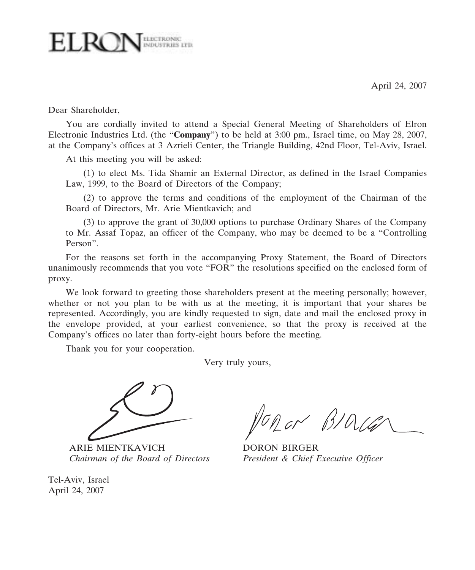April 24, 2007



Dear Shareholder,

You are cordially invited to attend a Special General Meeting of Shareholders of Elron Electronic Industries Ltd. (the "Company") to be held at 3:00 pm., Israel time, on May 28, 2007, at the Company's offices at 3 Azrieli Center, the Triangle Building, 42nd Floor, Tel-Aviv, Israel.

At this meeting you will be asked:

(1) to elect Ms. Tida Shamir an External Director, as defined in the Israel Companies Law, 1999, to the Board of Directors of the Company;

(2) to approve the terms and conditions of the employment of the Chairman of the Board of Directors, Mr. Arie Mientkavich; and

(3) to approve the grant of 30,000 options to purchase Ordinary Shares of the Company to Mr. Assaf Topaz, an officer of the Company, who may be deemed to be a "Controlling Person".

For the reasons set forth in the accompanying Proxy Statement, the Board of Directors unanimously recommends that you vote "FOR" the resolutions specified on the enclosed form of proxy.

We look forward to greeting those shareholders present at the meeting personally; however, whether or not you plan to be with us at the meeting, it is important that your shares be represented. Accordingly, you are kindly requested to sign, date and mail the enclosed proxy in the envelope provided, at your earliest convenience, so that the proxy is received at the Company's offices no later than forty-eight hours before the meeting.

Thank you for your cooperation.

Very truly yours,



ARIE MIENTKAVICH DORON BIRGER Chairman of the Board of Directors President & Chief Executive Officer

Tel-Aviv, Israel April 24, 2007

 $\sim$  BID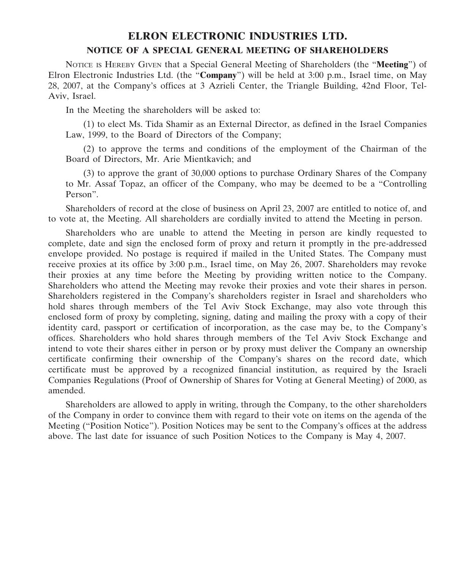#### ELRON ELECTRONIC INDUSTRIES LTD. NOTICE OF A SPECIAL GENERAL MEETING OF SHAREHOLDERS

NOTICE IS HEREBY GIVEN that a Special General Meeting of Shareholders (the "Meeting") of Elron Electronic Industries Ltd. (the "**Company**") will be held at 3:00 p.m., Israel time, on May 28, 2007, at the Company's offices at 3 Azrieli Center, the Triangle Building, 42nd Floor, Tel-Aviv, Israel.

In the Meeting the shareholders will be asked to:

(1) to elect Ms. Tida Shamir as an External Director, as defined in the Israel Companies Law, 1999, to the Board of Directors of the Company;

(2) to approve the terms and conditions of the employment of the Chairman of the Board of Directors, Mr. Arie Mientkavich; and

(3) to approve the grant of 30,000 options to purchase Ordinary Shares of the Company to Mr. Assaf Topaz, an officer of the Company, who may be deemed to be a "Controlling Person".

Shareholders of record at the close of business on April 23, 2007 are entitled to notice of, and to vote at, the Meeting. All shareholders are cordially invited to attend the Meeting in person.

Shareholders who are unable to attend the Meeting in person are kindly requested to complete, date and sign the enclosed form of proxy and return it promptly in the pre-addressed envelope provided. No postage is required if mailed in the United States. The Company must receive proxies at its office by 3:00 p.m., Israel time, on May 26, 2007. Shareholders may revoke their proxies at any time before the Meeting by providing written notice to the Company. Shareholders who attend the Meeting may revoke their proxies and vote their shares in person. Shareholders registered in the Company's shareholders register in Israel and shareholders who hold shares through members of the Tel Aviv Stock Exchange, may also vote through this enclosed form of proxy by completing, signing, dating and mailing the proxy with a copy of their identity card, passport or certification of incorporation, as the case may be, to the Company's offices. Shareholders who hold shares through members of the Tel Aviv Stock Exchange and intend to vote their shares either in person or by proxy must deliver the Company an ownership certificate confirming their ownership of the Company's shares on the record date, which certificate must be approved by a recognized financial institution, as required by the Israeli Companies Regulations (Proof of Ownership of Shares for Voting at General Meeting) of 2000, as amended.

Shareholders are allowed to apply in writing, through the Company, to the other shareholders of the Company in order to convince them with regard to their vote on items on the agenda of the Meeting ("Position Notice"). Position Notices may be sent to the Company's offices at the address above. The last date for issuance of such Position Notices to the Company is May 4, 2007.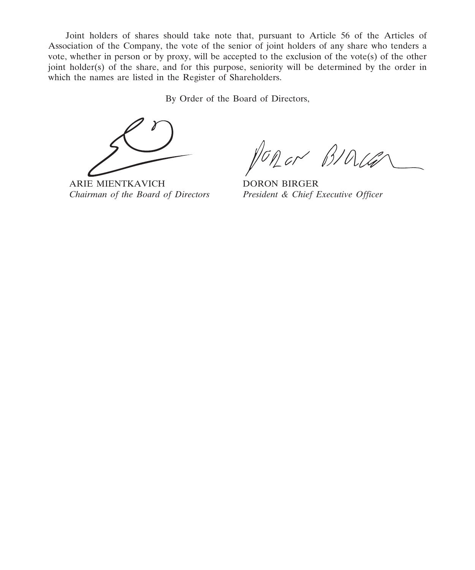Joint holders of shares should take note that, pursuant to Article 56 of the Articles of Association of the Company, the vote of the senior of joint holders of any share who tenders a vote, whether in person or by proxy, will be accepted to the exclusion of the vote(s) of the other joint holder(s) of the share, and for this purpose, seniority will be determined by the order in which the names are listed in the Register of Shareholders.

By Order of the Board of Directors,

nor BIOLG

ARIE MIENTKAVICH DORON BIRGER Chairman of the Board of Directors President & Chief Executive Officer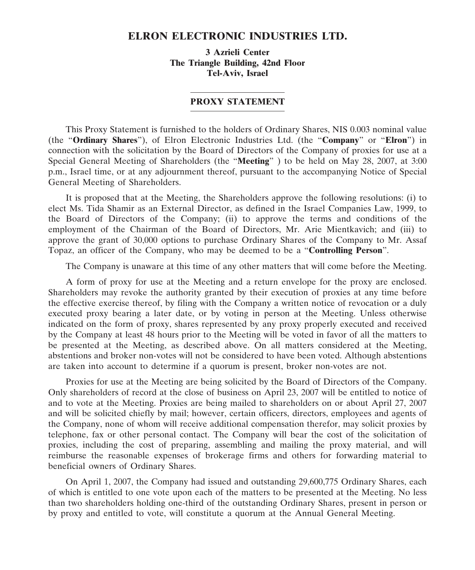#### ELRON ELECTRONIC INDUSTRIES LTD.

3 Azrieli Center The Triangle Building, 42nd Floor Tel-Aviv, Israel

#### PROXY STATEMENT

This Proxy Statement is furnished to the holders of Ordinary Shares, NIS 0.003 nominal value (the "Ordinary Shares"), of Elron Electronic Industries Ltd. (the "Company" or "Elron") in connection with the solicitation by the Board of Directors of the Company of proxies for use at a Special General Meeting of Shareholders (the "Meeting") to be held on May 28, 2007, at 3:00 p.m., Israel time, or at any adjournment thereof, pursuant to the accompanying Notice of Special General Meeting of Shareholders.

It is proposed that at the Meeting, the Shareholders approve the following resolutions: (i) to elect Ms. Tida Shamir as an External Director, as defined in the Israel Companies Law, 1999, to the Board of Directors of the Company; (ii) to approve the terms and conditions of the employment of the Chairman of the Board of Directors, Mr. Arie Mientkavich; and (iii) to approve the grant of 30,000 options to purchase Ordinary Shares of the Company to Mr. Assaf Topaz, an officer of the Company, who may be deemed to be a "Controlling Person".

The Company is unaware at this time of any other matters that will come before the Meeting.

A form of proxy for use at the Meeting and a return envelope for the proxy are enclosed. Shareholders may revoke the authority granted by their execution of proxies at any time before the effective exercise thereof, by filing with the Company a written notice of revocation or a duly executed proxy bearing a later date, or by voting in person at the Meeting. Unless otherwise indicated on the form of proxy, shares represented by any proxy properly executed and received by the Company at least 48 hours prior to the Meeting will be voted in favor of all the matters to be presented at the Meeting, as described above. On all matters considered at the Meeting, abstentions and broker non-votes will not be considered to have been voted. Although abstentions are taken into account to determine if a quorum is present, broker non-votes are not.

Proxies for use at the Meeting are being solicited by the Board of Directors of the Company. Only shareholders of record at the close of business on April 23, 2007 will be entitled to notice of and to vote at the Meeting. Proxies are being mailed to shareholders on or about April 27, 2007 and will be solicited chiefly by mail; however, certain officers, directors, employees and agents of the Company, none of whom will receive additional compensation therefor, may solicit proxies by telephone, fax or other personal contact. The Company will bear the cost of the solicitation of proxies, including the cost of preparing, assembling and mailing the proxy material, and will reimburse the reasonable expenses of brokerage firms and others for forwarding material to beneficial owners of Ordinary Shares.

On April 1, 2007, the Company had issued and outstanding 29,600,775 Ordinary Shares, each of which is entitled to one vote upon each of the matters to be presented at the Meeting. No less than two shareholders holding one-third of the outstanding Ordinary Shares, present in person or by proxy and entitled to vote, will constitute a quorum at the Annual General Meeting.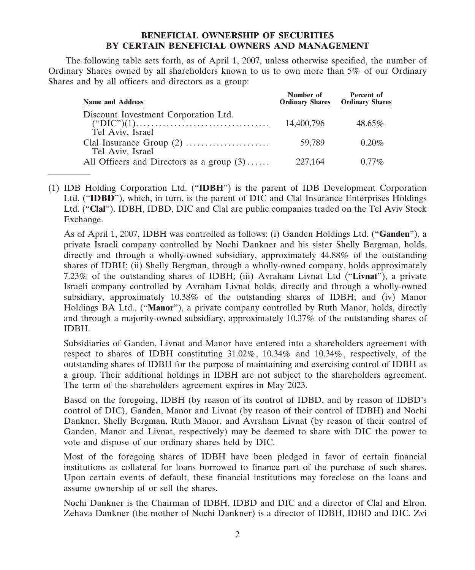#### BENEFICIAL OWNERSHIP OF SECURITIES BY CERTAIN BENEFICIAL OWNERS AND MANAGEMENT

The following table sets forth, as of April 1, 2007, unless otherwise specified, the number of Ordinary Shares owned by all shareholders known to us to own more than 5% of our Ordinary Shares and by all officers and directors as a group:

| <b>Name and Address</b>                                  | Number of<br><b>Ordinary Shares</b> | Percent of<br><b>Ordinary Shares</b> |
|----------------------------------------------------------|-------------------------------------|--------------------------------------|
| Discount Investment Corporation Ltd.<br>Tel Aviv, Israel | 14,400,796                          | $48.65\%$                            |
| Tel Aviv, Israel                                         | 59.789                              | $0.20\%$                             |
| All Officers and Directors as a group $(3)$              | 227,164                             | $0.77\%$                             |

(1) IDB Holding Corporation Ltd. ("IDBH") is the parent of IDB Development Corporation Ltd. ("IDBD"), which, in turn, is the parent of DIC and Clal Insurance Enterprises Holdings Ltd. ("Clal"). IDBH, IDBD, DIC and Clal are public companies traded on the Tel Aviv Stock Exchange.

As of April 1, 2007, IDBH was controlled as follows: (i) Ganden Holdings Ltd. ("Ganden"), a private Israeli company controlled by Nochi Dankner and his sister Shelly Bergman, holds, directly and through a wholly-owned subsidiary, approximately 44.88% of the outstanding shares of IDBH; (ii) Shelly Bergman, through a wholly-owned company, holds approximately 7.23% of the outstanding shares of IDBH; (iii) Avraham Livnat Ltd ("Livnat"), a private Israeli company controlled by Avraham Livnat holds, directly and through a wholly-owned subsidiary, approximately 10.38% of the outstanding shares of IDBH; and (iv) Manor Holdings BA Ltd., ("Manor"), a private company controlled by Ruth Manor, holds, directly and through a majority-owned subsidiary, approximately 10.37% of the outstanding shares of IDBH.

Subsidiaries of Ganden, Livnat and Manor have entered into a shareholders agreement with respect to shares of IDBH constituting 31.02%, 10.34% and 10.34%, respectively, of the outstanding shares of IDBH for the purpose of maintaining and exercising control of IDBH as a group. Their additional holdings in IDBH are not subject to the shareholders agreement. The term of the shareholders agreement expires in May 2023.

Based on the foregoing, IDBH (by reason of its control of IDBD, and by reason of IDBD's control of DIC), Ganden, Manor and Livnat (by reason of their control of IDBH) and Nochi Dankner, Shelly Bergman, Ruth Manor, and Avraham Livnat (by reason of their control of Ganden, Manor and Livnat, respectively) may be deemed to share with DIC the power to vote and dispose of our ordinary shares held by DIC.

Most of the foregoing shares of IDBH have been pledged in favor of certain financial institutions as collateral for loans borrowed to finance part of the purchase of such shares. Upon certain events of default, these financial institutions may foreclose on the loans and assume ownership of or sell the shares.

Nochi Dankner is the Chairman of IDBH, IDBD and DIC and a director of Clal and Elron. Zehava Dankner (the mother of Nochi Dankner) is a director of IDBH, IDBD and DIC. Zvi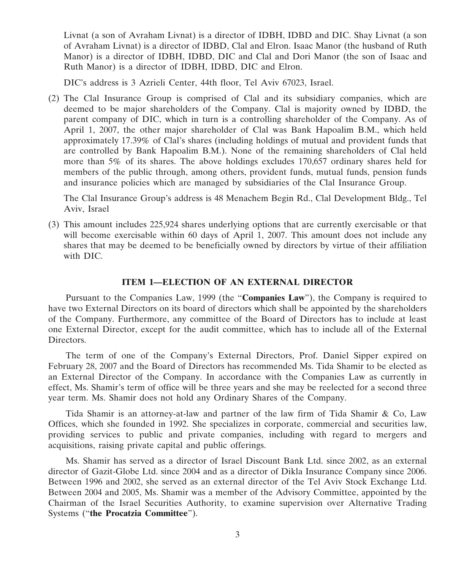Livnat (a son of Avraham Livnat) is a director of IDBH, IDBD and DIC. Shay Livnat (a son of Avraham Livnat) is a director of IDBD, Clal and Elron. Isaac Manor (the husband of Ruth Manor) is a director of IDBH, IDBD, DIC and Clal and Dori Manor (the son of Isaac and Ruth Manor) is a director of IDBH, IDBD, DIC and Elron.

DIC's address is 3 Azrieli Center, 44th floor, Tel Aviv 67023, Israel.

(2) The Clal Insurance Group is comprised of Clal and its subsidiary companies, which are deemed to be major shareholders of the Company. Clal is majority owned by IDBD, the parent company of DIC, which in turn is a controlling shareholder of the Company. As of April 1, 2007, the other major shareholder of Clal was Bank Hapoalim B.M., which held approximately 17.39% of Clal's shares (including holdings of mutual and provident funds that are controlled by Bank Hapoalim B.M.). None of the remaining shareholders of Clal held more than 5% of its shares. The above holdings excludes 170,657 ordinary shares held for members of the public through, among others, provident funds, mutual funds, pension funds and insurance policies which are managed by subsidiaries of the Clal Insurance Group.

The Clal Insurance Group's address is 48 Menachem Begin Rd., Clal Development Bldg., Tel Aviv, Israel

(3) This amount includes 225,924 shares underlying options that are currently exercisable or that will become exercisable within 60 days of April 1, 2007. This amount does not include any shares that may be deemed to be beneficially owned by directors by virtue of their affiliation with DIC.

#### ITEM 1—ELECTION OF AN EXTERNAL DIRECTOR

Pursuant to the Companies Law, 1999 (the "Companies Law"), the Company is required to have two External Directors on its board of directors which shall be appointed by the shareholders of the Company. Furthermore, any committee of the Board of Directors has to include at least one External Director, except for the audit committee, which has to include all of the External Directors.

The term of one of the Company's External Directors, Prof. Daniel Sipper expired on February 28, 2007 and the Board of Directors has recommended Ms. Tida Shamir to be elected as an External Director of the Company. In accordance with the Companies Law as currently in effect, Ms. Shamir's term of office will be three years and she may be reelected for a second three year term. Ms. Shamir does not hold any Ordinary Shares of the Company.

Tida Shamir is an attorney-at-law and partner of the law firm of Tida Shamir & Co, Law Offices, which she founded in 1992. She specializes in corporate, commercial and securities law, providing services to public and private companies, including with regard to mergers and acquisitions, raising private capital and public offerings.

Ms. Shamir has served as a director of Israel Discount Bank Ltd. since 2002, as an external director of Gazit-Globe Ltd. since 2004 and as a director of Dikla Insurance Company since 2006. Between 1996 and 2002, she served as an external director of the Tel Aviv Stock Exchange Ltd. Between 2004 and 2005, Ms. Shamir was a member of the Advisory Committee, appointed by the Chairman of the Israel Securities Authority, to examine supervision over Alternative Trading Systems ("the Procatzia Committee").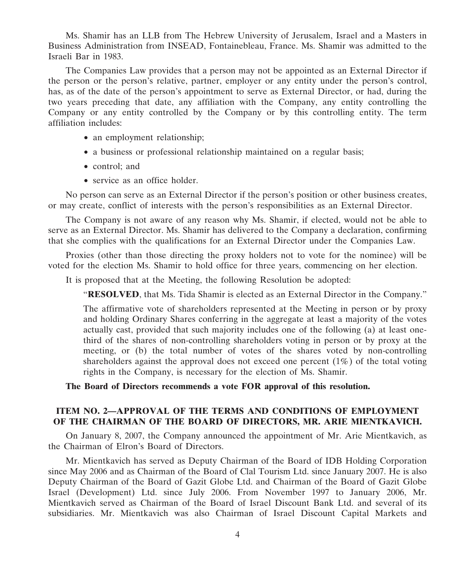Ms. Shamir has an LLB from The Hebrew University of Jerusalem, Israel and a Masters in Business Administration from INSEAD, Fontainebleau, France. Ms. Shamir was admitted to the Israeli Bar in 1983.

The Companies Law provides that a person may not be appointed as an External Director if the person or the person's relative, partner, employer or any entity under the person's control, has, as of the date of the person's appointment to serve as External Director, or had, during the two years preceding that date, any affiliation with the Company, any entity controlling the Company or any entity controlled by the Company or by this controlling entity. The term affiliation includes:

- an employment relationship;
- a business or professional relationship maintained on a regular basis;
- control; and
- service as an office holder.

No person can serve as an External Director if the person's position or other business creates, or may create, conflict of interests with the person's responsibilities as an External Director.

The Company is not aware of any reason why Ms. Shamir, if elected, would not be able to serve as an External Director. Ms. Shamir has delivered to the Company a declaration, confirming that she complies with the qualifications for an External Director under the Companies Law.

Proxies (other than those directing the proxy holders not to vote for the nominee) will be voted for the election Ms. Shamir to hold office for three years, commencing on her election.

It is proposed that at the Meeting, the following Resolution be adopted:

"RESOLVED, that Ms. Tida Shamir is elected as an External Director in the Company."

The affirmative vote of shareholders represented at the Meeting in person or by proxy and holding Ordinary Shares conferring in the aggregate at least a majority of the votes actually cast, provided that such majority includes one of the following (a) at least onethird of the shares of non-controlling shareholders voting in person or by proxy at the meeting, or (b) the total number of votes of the shares voted by non-controlling shareholders against the approval does not exceed one percent  $(1\%)$  of the total voting rights in the Company, is necessary for the election of Ms. Shamir.

The Board of Directors recommends a vote FOR approval of this resolution.

#### ITEM NO. 2—APPROVAL OF THE TERMS AND CONDITIONS OF EMPLOYMENT OF THE CHAIRMAN OF THE BOARD OF DIRECTORS, MR. ARIE MIENTKAVICH.

On January 8, 2007, the Company announced the appointment of Mr. Arie Mientkavich, as the Chairman of Elron's Board of Directors.

Mr. Mientkavich has served as Deputy Chairman of the Board of IDB Holding Corporation since May 2006 and as Chairman of the Board of Clal Tourism Ltd. since January 2007. He is also Deputy Chairman of the Board of Gazit Globe Ltd. and Chairman of the Board of Gazit Globe Israel (Development) Ltd. since July 2006. From November 1997 to January 2006, Mr. Mientkavich served as Chairman of the Board of Israel Discount Bank Ltd. and several of its subsidiaries. Mr. Mientkavich was also Chairman of Israel Discount Capital Markets and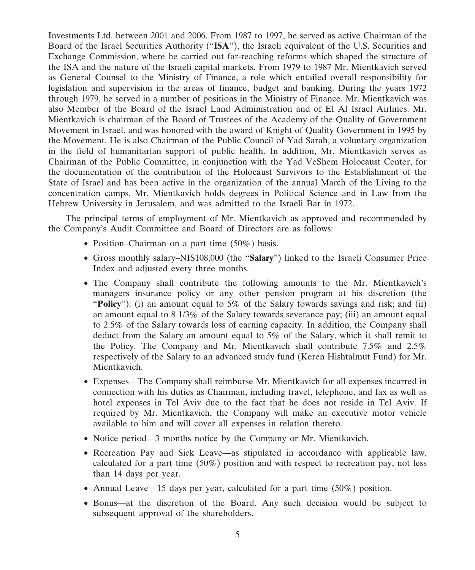Investments Ltd. between 2001 and 2006. From 1987 to 1997, he served as active Chairman of the Board of the Israel Securities Authority ("ISA"), the Israeli equivalent of the U.S. Securities and Exchange Commission, where he carried out far-reaching reforms which shaped the structure of the ISA and the nature of the Israeli capital markets. From 1979 to 1987 Mr. Mientkavich served as General Counsel to the Ministry of Finance, a role which entailed overall responsibility for legislation and supervision in the areas of finance, budget and banking. During the years 1972 through 1979, he served in a number of positions in the Ministry of Finance. Mr. Mientkavich was also Member of the Board of the Israel Land Administration and of El Al Israel Airlines. Mr. Mientkavich is chairman of the Board of Trustees of the Academy of the Quality of Government Movement in Israel, and was honored with the award of Knight of Quality Government in 1995 by the Movement. He is also Chairman of the Public Council of Yad Sarah, a voluntary organization in the field of humanitarian support of public health. In addition, Mr. Mientkavich serves as Chairman of the Public Committee, in conjunction with the Yad VeShem Holocaust Center, for the documentation of the contribution of the Holocaust Survivors to the Establishment of the State of Israel and has been active in the organization of the annual March of the Living to the concentration camps. Mr. Mientkavich holds degrees in Political Science and in Law from the Hebrew University in Jerusalem, and was admitted to the Israeli Bar in 1972.

The principal terms of employment of Mr. Mientkavich as approved and recommended by the Company's Audit Committee and Board of Directors are as follows:

- Position–Chairman on a part time (50%) basis.
- Gross monthly salary–NIS108,000 (the "Salary") linked to the Israeli Consumer Price Index and adjusted every three months.
- The Company shall contribute the following amounts to the Mr. Mientkavich's managers insurance policy or any other pension program at his discretion (the "**Policy**": (i) an amount equal to 5% of the Salary towards savings and risk; and (ii) an amount equal to 8 1/3% of the Salary towards severance pay; (iii) an amount equal to 2.5% of the Salary towards loss of earning capacity. In addition, the Company shall deduct from the Salary an amount equal to 5% of the Salary, which it shall remit to the Policy. The Company and Mr. Mientkavich shall contribute 7.5% and 2.5% respectively of the Salary to an advanced study fund (Keren Hishtalmut Fund) for Mr. Mientkavich.
- Expenses—The Company shall reimburse Mr. Mientkavich for all expenses incurred in connection with his duties as Chairman, including travel, telephone, and fax as well as hotel expenses in Tel Aviv due to the fact that he does not reside in Tel Aviv. If required by Mr. Mientkavich, the Company will make an executive motor vehicle available to him and will cover all expenses in relation thereto.
- Notice period—3 months notice by the Company or Mr. Mientkavich.
- Recreation Pay and Sick Leave—as stipulated in accordance with applicable law, calculated for a part time (50%) position and with respect to recreation pay, not less than 14 days per year.
- Annual Leave—15 days per year, calculated for a part time (50%) position.
- Bonus—at the discretion of the Board. Any such decision would be subject to subsequent approval of the shareholders.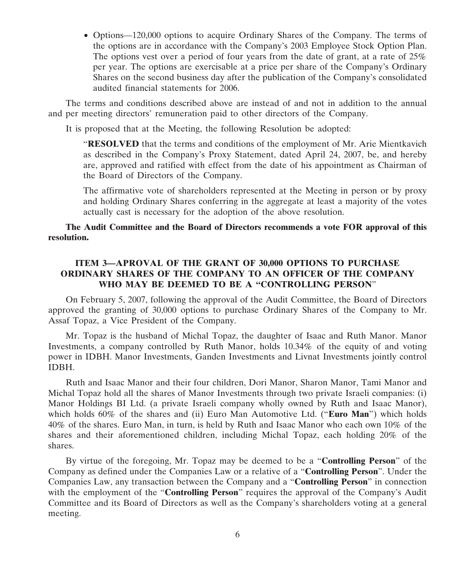• Options—120,000 options to acquire Ordinary Shares of the Company. The terms of the options are in accordance with the Company's 2003 Employee Stock Option Plan. The options vest over a period of four years from the date of grant, at a rate of 25% per year. The options are exercisable at a price per share of the Company's Ordinary Shares on the second business day after the publication of the Company's consolidated audited financial statements for 2006.

The terms and conditions described above are instead of and not in addition to the annual and per meeting directors' remuneration paid to other directors of the Company.

It is proposed that at the Meeting, the following Resolution be adopted:

**"RESOLVED** that the terms and conditions of the employment of Mr. Arie Mientkavich as described in the Company's Proxy Statement, dated April 24, 2007, be, and hereby are, approved and ratified with effect from the date of his appointment as Chairman of the Board of Directors of the Company.

The affirmative vote of shareholders represented at the Meeting in person or by proxy and holding Ordinary Shares conferring in the aggregate at least a majority of the votes actually cast is necessary for the adoption of the above resolution.

#### The Audit Committee and the Board of Directors recommends a vote FOR approval of this resolution.

#### ITEM 3—APROVAL OF THE GRANT OF 30,000 OPTIONS TO PURCHASE ORDINARY SHARES OF THE COMPANY TO AN OFFICER OF THE COMPANY WHO MAY BE DEEMED TO BE A "CONTROLLING PERSON"

On February 5, 2007, following the approval of the Audit Committee, the Board of Directors approved the granting of 30,000 options to purchase Ordinary Shares of the Company to Mr. Assaf Topaz, a Vice President of the Company.

Mr. Topaz is the husband of Michal Topaz, the daughter of Isaac and Ruth Manor. Manor Investments, a company controlled by Ruth Manor, holds 10.34% of the equity of and voting power in IDBH. Manor Investments, Ganden Investments and Livnat Investments jointly control IDBH.

Ruth and Isaac Manor and their four children, Dori Manor, Sharon Manor, Tami Manor and Michal Topaz hold all the shares of Manor Investments through two private Israeli companies: (i) Manor Holdings BI Ltd. (a private Israeli company wholly owned by Ruth and Isaac Manor), which holds  $60\%$  of the shares and (ii) Euro Man Automotive Ltd. ("**Euro Man**") which holds 40% of the shares. Euro Man, in turn, is held by Ruth and Isaac Manor who each own 10% of the shares and their aforementioned children, including Michal Topaz, each holding 20% of the shares.

By virtue of the foregoing, Mr. Topaz may be deemed to be a "Controlling Person" of the Company as defined under the Companies Law or a relative of a "Controlling Person". Under the Companies Law, any transaction between the Company and a "Controlling Person" in connection with the employment of the "**Controlling Person**" requires the approval of the Company's Audit Committee and its Board of Directors as well as the Company's shareholders voting at a general meeting.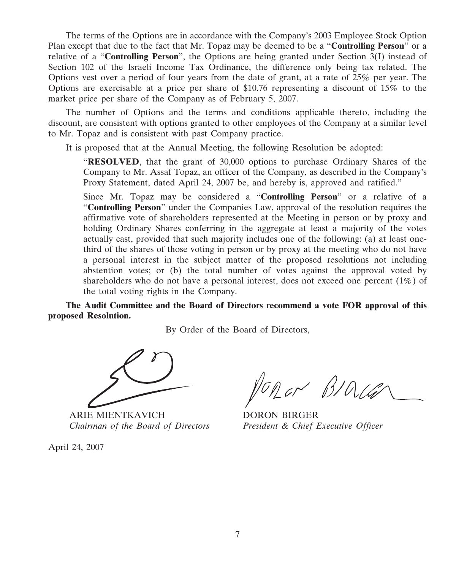The terms of the Options are in accordance with the Company's 2003 Employee Stock Option Plan except that due to the fact that Mr. Topaz may be deemed to be a "**Controlling Person**" or a relative of a "**Controlling Person**", the Options are being granted under Section  $3(I)$  instead of Section 102 of the Israeli Income Tax Ordinance, the difference only being tax related. The Options vest over a period of four years from the date of grant, at a rate of 25% per year. The Options are exercisable at a price per share of \$10.76 representing a discount of 15% to the market price per share of the Company as of February 5, 2007.

The number of Options and the terms and conditions applicable thereto, including the discount, are consistent with options granted to other employees of the Company at a similar level to Mr. Topaz and is consistent with past Company practice.

It is proposed that at the Annual Meeting, the following Resolution be adopted:

"RESOLVED, that the grant of 30,000 options to purchase Ordinary Shares of the Company to Mr. Assaf Topaz, an officer of the Company, as described in the Company's Proxy Statement, dated April 24, 2007 be, and hereby is, approved and ratified."

Since Mr. Topaz may be considered a "Controlling Person" or a relative of a "Controlling Person" under the Companies Law, approval of the resolution requires the affirmative vote of shareholders represented at the Meeting in person or by proxy and holding Ordinary Shares conferring in the aggregate at least a majority of the votes actually cast, provided that such majority includes one of the following: (a) at least onethird of the shares of those voting in person or by proxy at the meeting who do not have a personal interest in the subject matter of the proposed resolutions not including abstention votes; or (b) the total number of votes against the approval voted by shareholders who do not have a personal interest, does not exceed one percent (1%) of the total voting rights in the Company.

The Audit Committee and the Board of Directors recommend a vote FOR approval of this proposed Resolution.

By Order of the Board of Directors,

ARIE MIENTKAVICH DORON BIRGER

April 24, 2007

VORON BIA

Chairman of the Board of Directors President & Chief Executive Officer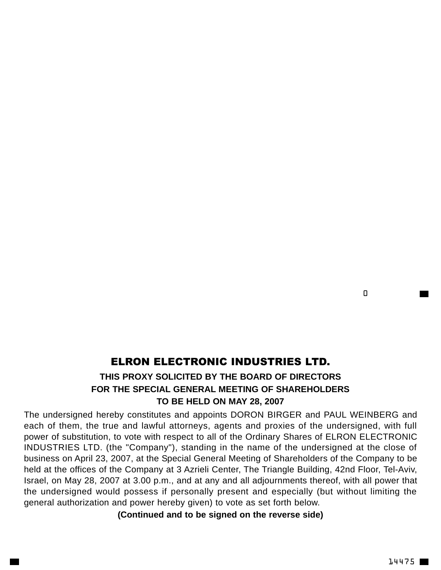#### $\Box$

## ELRON ELECTRONIC INDUSTRIES LTD.

### **THIS PROXY SOLICITED BY THE BOARD OF DIRECTORS FOR THE SPECIAL GENERAL MEETING OF SHAREHOLDERS TO BE HELD ON MAY 28, 2007**

The undersigned hereby constitutes and appoints DORON BIRGER and PAUL WEINBERG and each of them, the true and lawful attorneys, agents and proxies of the undersigned, with full power of substitution, to vote with respect to all of the Ordinary Shares of ELRON ELECTRONIC INDUSTRIES LTD. (the "Company"), standing in the name of the undersigned at the close of business on April 23, 2007, at the Special General Meeting of Shareholders of the Company to be held at the offices of the Company at 3 Azrieli Center, The Triangle Building, 42nd Floor, Tel-Aviv, Israel, on May 28, 2007 at 3.00 p.m., and at any and all adjournments thereof, with all power that the undersigned would possess if personally present and especially (but without limiting the general authorization and power hereby given) to vote as set forth below.

**(Continued and to be signed on the reverse side)**